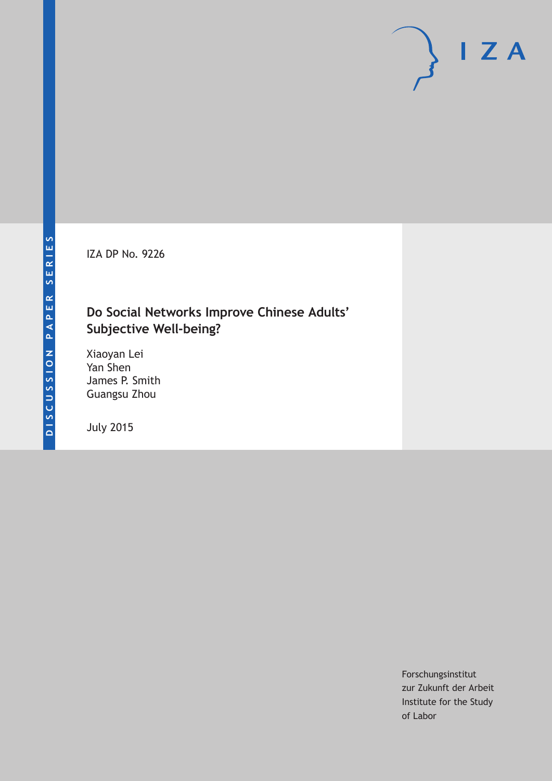IZA DP No. 9226

# **Do Social Networks Improve Chinese Adults' Subjective Well-being?**

Xiaoyan Lei Yan Shen James P. Smith Guangsu Zhou

July 2015

Forschungsinstitut zur Zukunft der Arbeit Institute for the Study of Labor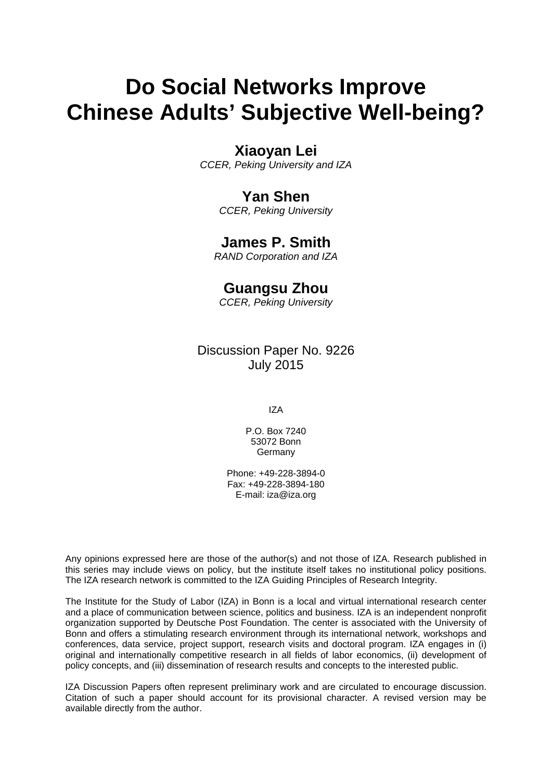# **Do Social Networks Improve Chinese Adults' Subjective Well-being?**

### **Xiaoyan Lei**

*CCER, Peking University and IZA* 

### **Yan Shen**

*CCER, Peking University* 

### **James P. Smith**

*RAND Corporation and IZA*

## **Guangsu Zhou**

*CCER, Peking University* 

### Discussion Paper No. 9226 July 2015

IZA

P.O. Box 7240 53072 Bonn Germany

Phone: +49-228-3894-0 Fax: +49-228-3894-180 E-mail: iza@iza.org

Any opinions expressed here are those of the author(s) and not those of IZA. Research published in this series may include views on policy, but the institute itself takes no institutional policy positions. The IZA research network is committed to the IZA Guiding Principles of Research Integrity.

The Institute for the Study of Labor (IZA) in Bonn is a local and virtual international research center and a place of communication between science, politics and business. IZA is an independent nonprofit organization supported by Deutsche Post Foundation. The center is associated with the University of Bonn and offers a stimulating research environment through its international network, workshops and conferences, data service, project support, research visits and doctoral program. IZA engages in (i) original and internationally competitive research in all fields of labor economics, (ii) development of policy concepts, and (iii) dissemination of research results and concepts to the interested public.

IZA Discussion Papers often represent preliminary work and are circulated to encourage discussion. Citation of such a paper should account for its provisional character. A revised version may be available directly from the author.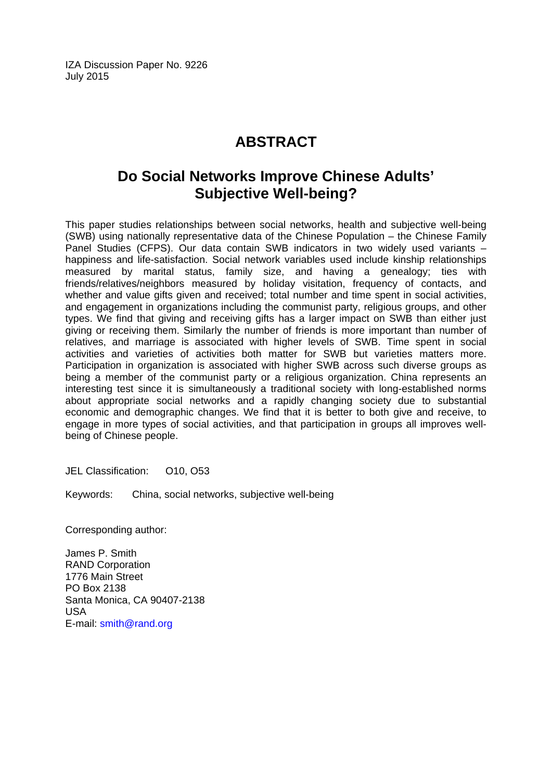IZA Discussion Paper No. 9226 July 2015

# **ABSTRACT**

# **Do Social Networks Improve Chinese Adults' Subjective Well-being?**

This paper studies relationships between social networks, health and subjective well-being (SWB) using nationally representative data of the Chinese Population – the Chinese Family Panel Studies (CFPS). Our data contain SWB indicators in two widely used variants – happiness and life-satisfaction. Social network variables used include kinship relationships measured by marital status, family size, and having a genealogy; ties with friends/relatives/neighbors measured by holiday visitation, frequency of contacts, and whether and value gifts given and received; total number and time spent in social activities, and engagement in organizations including the communist party, religious groups, and other types. We find that giving and receiving gifts has a larger impact on SWB than either just giving or receiving them. Similarly the number of friends is more important than number of relatives, and marriage is associated with higher levels of SWB. Time spent in social activities and varieties of activities both matter for SWB but varieties matters more. Participation in organization is associated with higher SWB across such diverse groups as being a member of the communist party or a religious organization. China represents an interesting test since it is simultaneously a traditional society with long-established norms about appropriate social networks and a rapidly changing society due to substantial economic and demographic changes. We find that it is better to both give and receive, to engage in more types of social activities, and that participation in groups all improves wellbeing of Chinese people.

JEL Classification: 010, 053

Keywords: China, social networks, subjective well-being

Corresponding author:

James P. Smith RAND Corporation 1776 Main Street PO Box 2138 Santa Monica, CA 90407-2138 USA E-mail: smith@rand.org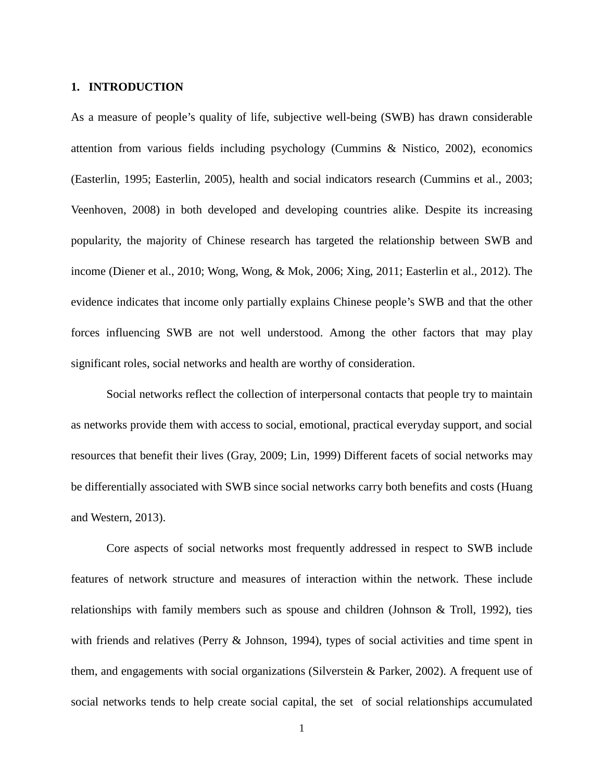#### **1. INTRODUCTION**

As a measure of people's quality of life, subjective well-being (SWB) has drawn considerable attention from various fields including psychology (Cummins & Nistico, 2002), economics (Easterlin, 1995; Easterlin, 2005), health and social indicators research (Cummins et al., 2003; Veenhoven, 2008) in both developed and developing countries alike. Despite its increasing popularity, the majority of Chinese research has targeted the relationship between SWB and income (Diener et al., 2010; Wong, Wong, & Mok, 2006; Xing, 2011; Easterlin et al., 2012). The evidence indicates that income only partially explains Chinese people's SWB and that the other forces influencing SWB are not well understood. Among the other factors that may play significant roles, social networks and health are worthy of consideration.

Social networks reflect the collection of interpersonal contacts that people try to maintain as networks provide them with access to social, emotional, practical everyday support, and social resources that benefit their lives (Gray, 2009; Lin, 1999) Different facets of social networks may be differentially associated with SWB since social networks carry both benefits and costs (Huang and Western, 2013).

Core aspects of social networks most frequently addressed in respect to SWB include features of network structure and measures of interaction within the network. These include relationships with family members such as spouse and children (Johnson & Troll, 1992), ties with friends and relatives (Perry & Johnson, 1994), types of social activities and time spent in them, and engagements with social organizations (Silverstein & Parker, 2002). A frequent use of social networks tends to help create social capital, the set of social relationships accumulated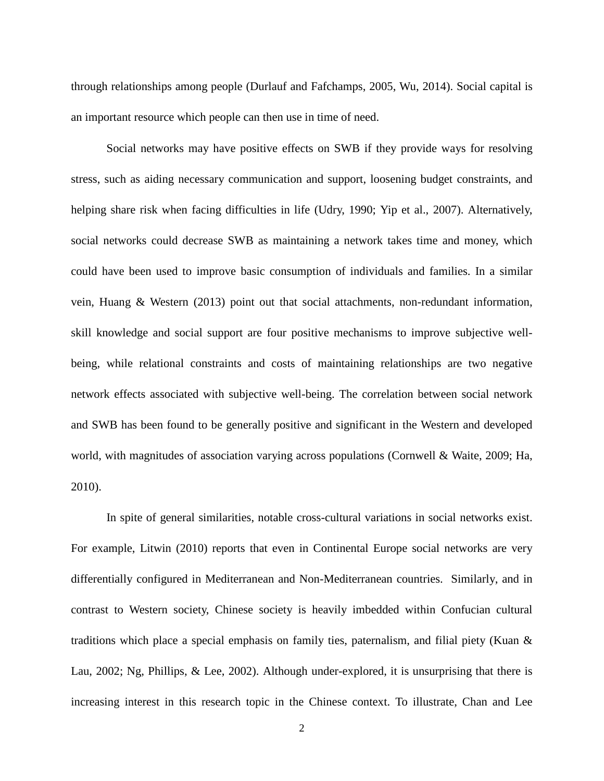through relationships among people (Durlauf and Fafchamps, 2005, Wu, 2014). Social capital is an important resource which people can then use in time of need.

Social networks may have positive effects on SWB if they provide ways for resolving stress, such as aiding necessary communication and support, loosening budget constraints, and helping share risk when facing difficulties in life (Udry, 1990; Yip et al., 2007). Alternatively, social networks could decrease SWB as maintaining a network takes time and money, which could have been used to improve basic consumption of individuals and families. In a similar vein, Huang & Western (2013) point out that social attachments, non-redundant information, skill knowledge and social support are four positive mechanisms to improve subjective wellbeing, while relational constraints and costs of maintaining relationships are two negative network effects associated with subjective well-being. The correlation between social network and SWB has been found to be generally positive and significant in the Western and developed world, with magnitudes of association varying across populations (Cornwell & Waite, 2009; Ha, 2010).

In spite of general similarities, notable cross-cultural variations in social networks exist. For example, Litwin (2010) reports that even in Continental Europe social networks are very differentially configured in Mediterranean and Non-Mediterranean countries. Similarly, and in contrast to Western society, Chinese society is heavily imbedded within Confucian cultural traditions which place a special emphasis on family ties, paternalism, and filial piety (Kuan & Lau, 2002; Ng, Phillips, & Lee, 2002). Although under-explored, it is unsurprising that there is increasing interest in this research topic in the Chinese context. To illustrate, Chan and Lee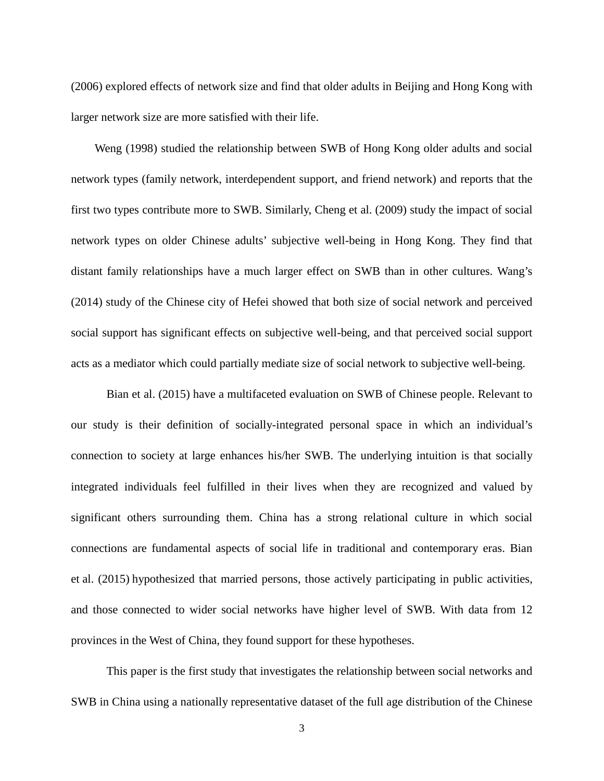(2006) explored effects of network size and find that older adults in Beijing and Hong Kong with larger network size are more satisfied with their life.

Weng (1998) studied the relationship between SWB of Hong Kong older adults and social network types (family network, interdependent support, and friend network) and reports that the first two types contribute more to SWB. Similarly, Cheng et al. (2009) study the impact of social network types on older Chinese adults' subjective well-being in Hong Kong. They find that distant family relationships have a much larger effect on SWB than in other cultures. Wang's (2014) study of the Chinese city of Hefei showed that both size of social network and perceived social support has significant effects on subjective well-being, and that perceived social support acts as a mediator which could partially mediate size of social network to subjective well-being.

Bian et al. (2015) have a multifaceted evaluation on SWB of Chinese people. Relevant to our study is their definition of socially-integrated personal space in which an individual's connection to society at large enhances his/her SWB. The underlying intuition is that socially integrated individuals feel fulfilled in their lives when they are recognized and valued by significant others surrounding them. China has a strong relational culture in which social connections are fundamental aspects of social life in traditional and contemporary eras. Bian et al. (2015) hypothesized that married persons, those actively participating in public activities, and those connected to wider social networks have higher level of SWB. With data from 12 provinces in the West of China, they found support for these hypotheses.

This paper is the first study that investigates the relationship between social networks and SWB in China using a nationally representative dataset of the full age distribution of the Chinese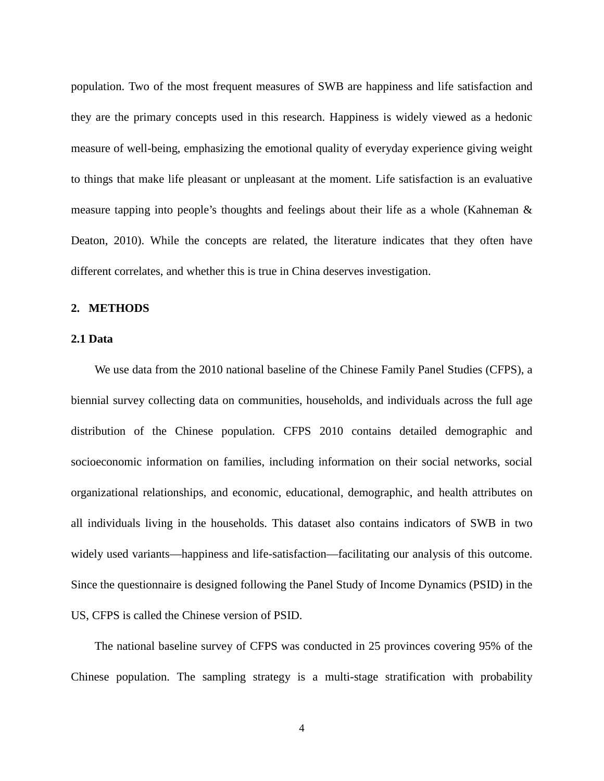population. Two of the most frequent measures of SWB are happiness and life satisfaction and they are the primary concepts used in this research. Happiness is widely viewed as a hedonic measure of well-being, emphasizing the emotional quality of everyday experience giving weight to things that make life pleasant or unpleasant at the moment. Life satisfaction is an evaluative measure tapping into people's thoughts and feelings about their life as a whole (Kahneman & Deaton, 2010). While the concepts are related, the literature indicates that they often have different correlates, and whether this is true in China deserves investigation.

#### **2. METHODS**

#### **2.1 Data**

We use data from the 2010 national baseline of the Chinese Family Panel Studies (CFPS), a biennial survey collecting data on communities, households, and individuals across the full age distribution of the Chinese population. CFPS 2010 contains detailed demographic and socioeconomic information on families, including information on their social networks, social organizational relationships, and economic, educational, demographic, and health attributes on all individuals living in the households. This dataset also contains indicators of SWB in two widely used variants—happiness and life-satisfaction—facilitating our analysis of this outcome. Since the questionnaire is designed following the Panel Study of Income Dynamics (PSID) in the US, CFPS is called the Chinese version of PSID.

The national baseline survey of CFPS was conducted in 25 provinces covering 95% of the Chinese population. The sampling strategy is a multi-stage stratification with probability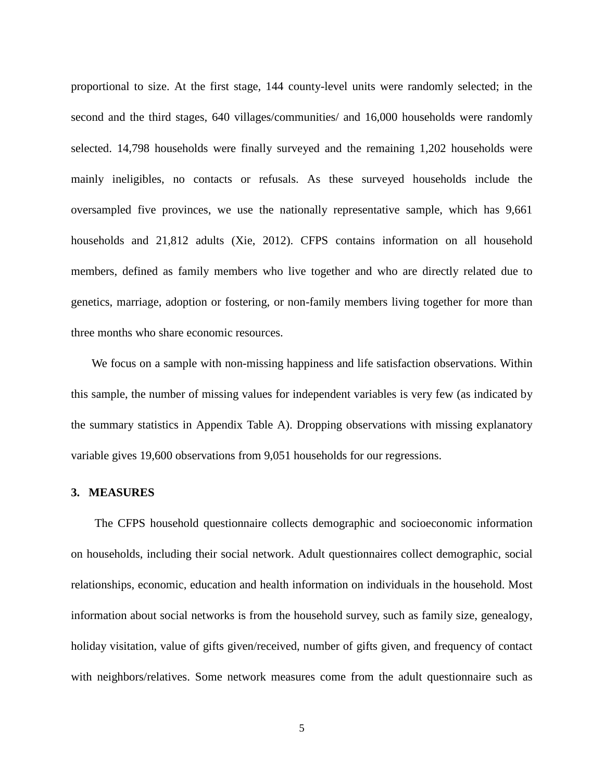proportional to size. At the first stage, 144 county-level units were randomly selected; in the second and the third stages, 640 villages/communities/ and 16,000 households were randomly selected. 14,798 households were finally surveyed and the remaining 1,202 households were mainly ineligibles, no contacts or refusals. As these surveyed households include the oversampled five provinces, we use the nationally representative sample, which has 9,661 households and 21,812 adults (Xie, 2012). CFPS contains information on all household members, defined as family members who live together and who are directly related due to genetics, marriage, adoption or fostering, or non-family members living together for more than three months who share economic resources.

We focus on a sample with non-missing happiness and life satisfaction observations. Within this sample, the number of missing values for independent variables is very few (as indicated by the summary statistics in Appendix Table A). Dropping observations with missing explanatory variable gives 19,600 observations from 9,051 households for our regressions.

#### **3. MEASURES**

The CFPS household questionnaire collects demographic and socioeconomic information on households, including their social network. Adult questionnaires collect demographic, social relationships, economic, education and health information on individuals in the household. Most information about social networks is from the household survey, such as family size, genealogy, holiday visitation, value of gifts given/received, number of gifts given, and frequency of contact with neighbors/relatives. Some network measures come from the adult questionnaire such as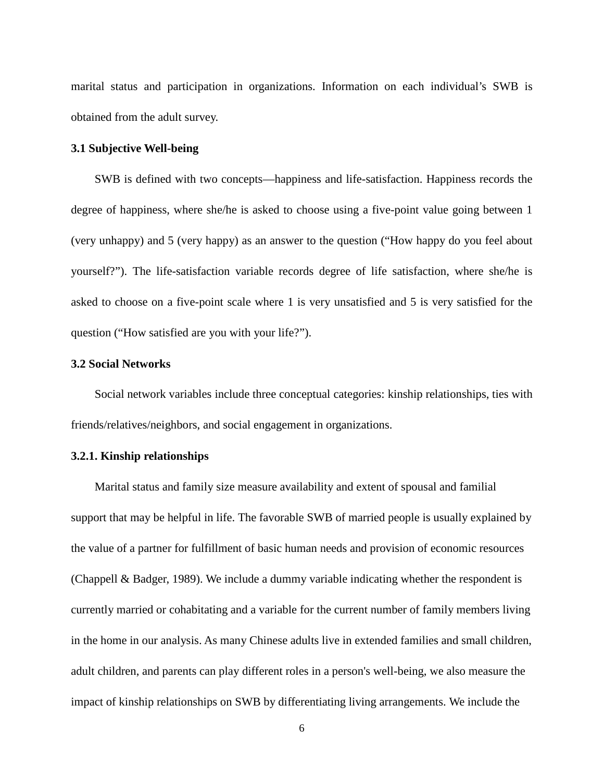marital status and participation in organizations. Information on each individual's SWB is obtained from the adult survey.

#### **3.1 Subjective Well-being**

SWB is defined with two concepts—happiness and life-satisfaction. Happiness records the degree of happiness, where she/he is asked to choose using a five-point value going between 1 (very unhappy) and 5 (very happy) as an answer to the question ("How happy do you feel about yourself?"). The life-satisfaction variable records degree of life satisfaction, where she/he is asked to choose on a five-point scale where 1 is very unsatisfied and 5 is very satisfied for the question ("How satisfied are you with your life?").

#### **3.2 Social Networks**

Social network variables include three conceptual categories: kinship relationships, ties with friends/relatives/neighbors, and social engagement in organizations.

#### **3.2.1. Kinship relationships**

Marital status and family size measure availability and extent of spousal and familial support that may be helpful in life. The favorable SWB of married people is usually explained by the value of a partner for fulfillment of basic human needs and provision of economic resources (Chappell & Badger, 1989). We include a dummy variable indicating whether the respondent is currently married or cohabitating and a variable for the current number of family members living in the home in our analysis. As many Chinese adults live in extended families and small children, adult children, and parents can play different roles in a person's well-being, we also measure the impact of kinship relationships on SWB by differentiating living arrangements. We include the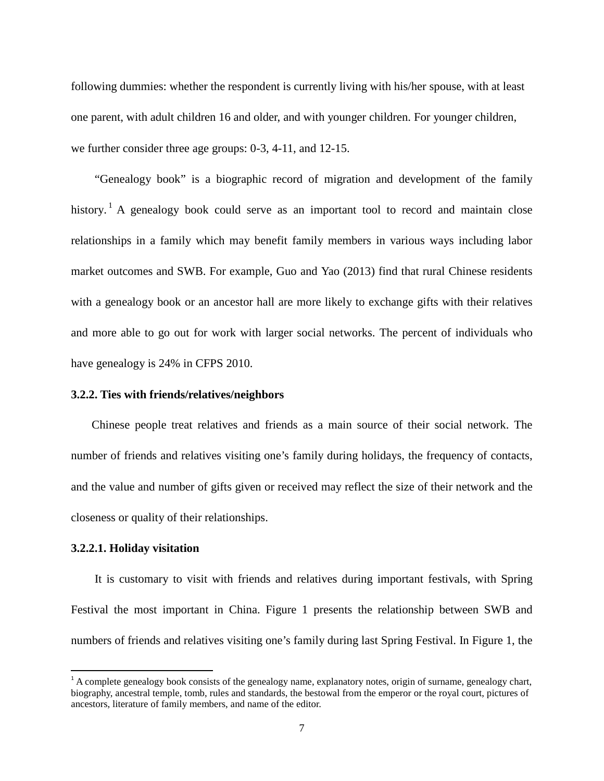following dummies: whether the respondent is currently living with his/her spouse, with at least one parent, with adult children 16 and older, and with younger children. For younger children, we further consider three age groups: 0-3, 4-11, and 12-15.

"Genealogy book" is a biographic record of migration and development of the family history.<sup>[1](#page-28-0)</sup> A genealogy book could serve as an important tool to record and maintain close relationships in a family which may benefit family members in various ways including labor market outcomes and SWB. For example, Guo and Yao (2013) find that rural Chinese residents with a genealogy book or an ancestor hall are more likely to exchange gifts with their relatives and more able to go out for work with larger social networks. The percent of individuals who have genealogy is 24% in CFPS 2010.

#### **3.2.2. Ties with friends/relatives/neighbors**

Chinese people treat relatives and friends as a main source of their social network. The number of friends and relatives visiting one's family during holidays, the frequency of contacts, and the value and number of gifts given or received may reflect the size of their network and the closeness or quality of their relationships.

#### **3.2.2.1. Holiday visitation**

It is customary to visit with friends and relatives during important festivals, with Spring Festival the most important in China. Figure 1 presents the relationship between SWB and numbers of friends and relatives visiting one's family during last Spring Festival. In Figure 1, the

<span id="page-9-0"></span> $1$ <sup>1</sup> A complete genealogy book consists of the genealogy name, explanatory notes, origin of surname, genealogy chart, biography, ancestral temple, tomb, rules and standards, the bestowal from the emperor or the royal court, pictures of ancestors, literature of family members, and name of the editor.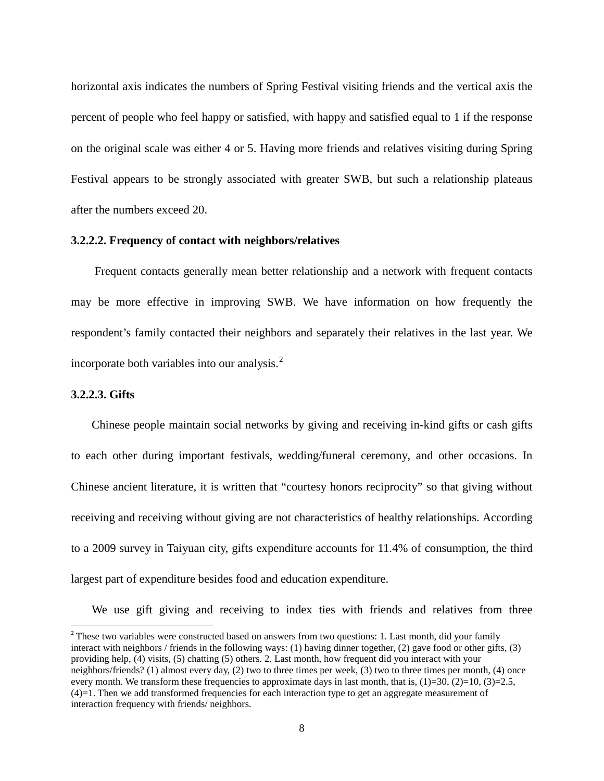horizontal axis indicates the numbers of Spring Festival visiting friends and the vertical axis the percent of people who feel happy or satisfied, with happy and satisfied equal to 1 if the response on the original scale was either 4 or 5. Having more friends and relatives visiting during Spring Festival appears to be strongly associated with greater SWB, but such a relationship plateaus after the numbers exceed 20.

#### **3.2.2.2. Frequency of contact with neighbors/relatives**

Frequent contacts generally mean better relationship and a network with frequent contacts may be more effective in improving SWB. We have information on how frequently the respondent's family contacted their neighbors and separately their relatives in the last year. We incorporate both variables into our analysis. [2](#page-9-0)

#### **3.2.2.3. Gifts**

Chinese people maintain social networks by giving and receiving in-kind gifts or cash gifts to each other during important festivals, wedding/funeral ceremony, and other occasions. In Chinese ancient literature, it is written that "courtesy honors reciprocity" so that giving without receiving and receiving without giving are not characteristics of healthy relationships. According to a 2009 survey in Taiyuan city, gifts expenditure accounts for 11.4% of consumption, the third largest part of expenditure besides food and education expenditure.

We use gift giving and receiving to index ties with friends and relatives from three

<span id="page-10-0"></span><sup>&</sup>lt;sup>2</sup> These two variables were constructed based on answers from two questions: 1. Last month, did your family interact with neighbors / friends in the following ways: (1) having dinner together, (2) gave food or other gifts, (3) providing help, (4) visits, (5) chatting (5) others. 2. Last month, how frequent did you interact with your neighbors/friends? (1) almost every day, (2) two to three times per week, (3) two to three times per month, (4) once every month. We transform these frequencies to approximate days in last month, that is,  $(1)=30$ ,  $(2)=10$ ,  $(3)=2.5$ , (4)=1. Then we add transformed frequencies for each interaction type to get an aggregate measurement of interaction frequency with friends/ neighbors.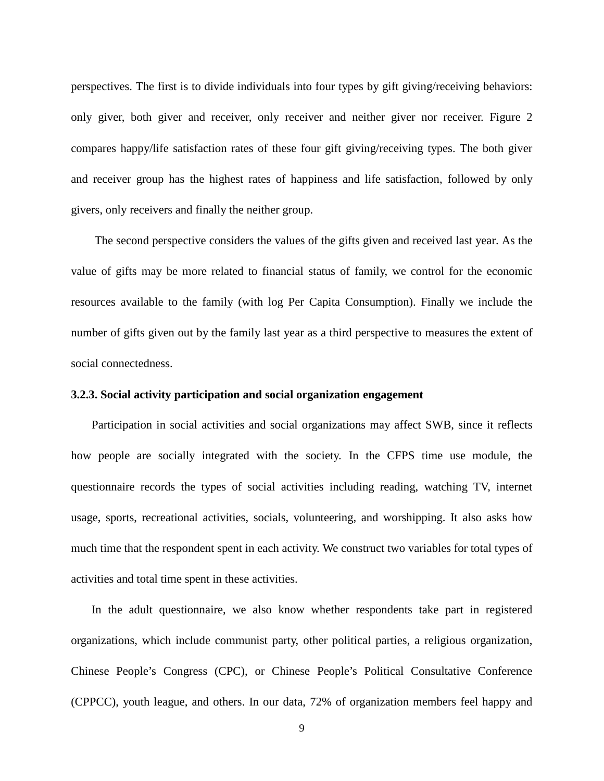perspectives. The first is to divide individuals into four types by gift giving/receiving behaviors: only giver, both giver and receiver, only receiver and neither giver nor receiver. Figure 2 compares happy/life satisfaction rates of these four gift giving/receiving types. The both giver and receiver group has the highest rates of happiness and life satisfaction, followed by only givers, only receivers and finally the neither group.

The second perspective considers the values of the gifts given and received last year. As the value of gifts may be more related to financial status of family, we control for the economic resources available to the family (with log Per Capita Consumption). Finally we include the number of gifts given out by the family last year as a third perspective to measures the extent of social connectedness.

#### **3.2.3. Social activity participation and social organization engagement**

Participation in social activities and social organizations may affect SWB, since it reflects how people are socially integrated with the society. In the CFPS time use module, the questionnaire records the types of social activities including reading, watching TV, internet usage, sports, recreational activities, socials, volunteering, and worshipping. It also asks how much time that the respondent spent in each activity. We construct two variables for total types of activities and total time spent in these activities.

In the adult questionnaire, we also know whether respondents take part in registered organizations, which include communist party, other political parties, a religious organization, Chinese People's Congress (CPC), or Chinese People's Political Consultative Conference (CPPCC), youth league, and others. In our data, 72% of organization members feel happy and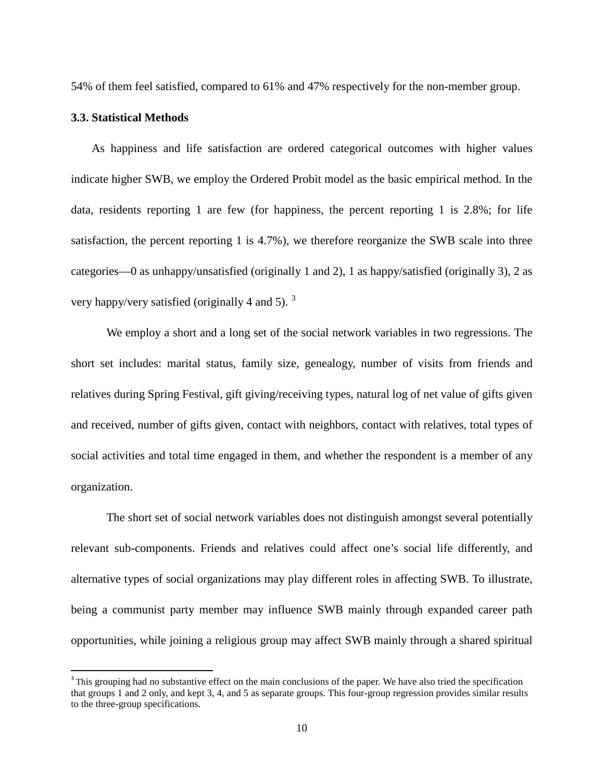54% of them feel satisfied, compared to 61% and 47% respectively for the non-member group.

#### **3.3. Statistical Methods**

As happiness and life satisfaction are ordered categorical outcomes with higher values indicate higher SWB, we employ the Ordered Probit model as the basic empirical method. In the data, residents reporting 1 are few (for happiness, the percent reporting 1 is 2.8%; for life satisfaction, the percent reporting 1 is 4.7%), we therefore reorganize the SWB scale into three categories—0 as unhappy/unsatisfied (originally 1 and 2), 1 as happy/satisfied (originally 3), 2 as very happy/very satisfied (originally 4 and 5).  $3$ 

We employ a short and a long set of the social network variables in two regressions. The short set includes: marital status, family size, genealogy, number of visits from friends and relatives during Spring Festival, gift giving/receiving types, natural log of net value of gifts given and received, number of gifts given, contact with neighbors, contact with relatives, total types of social activities and total time engaged in them, and whether the respondent is a member of any organization.

The short set of social network variables does not distinguish amongst several potentially relevant sub-components. Friends and relatives could affect one's social life differently, and alternative types of social organizations may play different roles in affecting SWB. To illustrate, being a communist party member may influence SWB mainly through expanded career path opportunities, while joining a religious group may affect SWB mainly through a shared spiritual

<span id="page-12-0"></span><sup>&</sup>lt;sup>3</sup> This grouping had no substantive effect on the main conclusions of the paper. We have also tried the specification that groups 1 and 2 only, and kept 3, 4, and 5 as separate groups. This four-group regression provides similar results to the three-group specifications.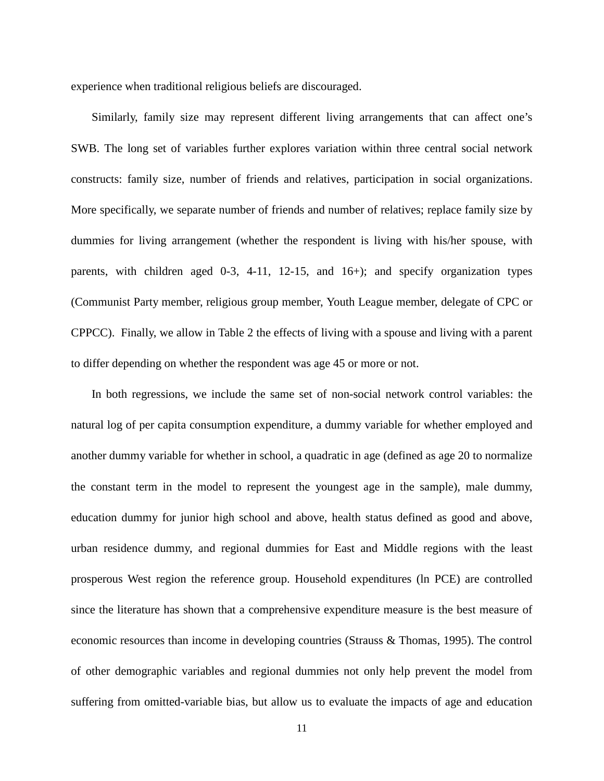experience when traditional religious beliefs are discouraged.

Similarly, family size may represent different living arrangements that can affect one's SWB. The long set of variables further explores variation within three central social network constructs: family size, number of friends and relatives, participation in social organizations. More specifically, we separate number of friends and number of relatives; replace family size by dummies for living arrangement (whether the respondent is living with his/her spouse, with parents, with children aged 0-3, 4-11, 12-15, and 16+); and specify organization types (Communist Party member, religious group member, Youth League member, delegate of CPC or CPPCC). Finally, we allow in Table 2 the effects of living with a spouse and living with a parent to differ depending on whether the respondent was age 45 or more or not.

In both regressions, we include the same set of non-social network control variables: the natural log of per capita consumption expenditure, a dummy variable for whether employed and another dummy variable for whether in school, a quadratic in age (defined as age 20 to normalize the constant term in the model to represent the youngest age in the sample), male dummy, education dummy for junior high school and above, health status defined as good and above, urban residence dummy, and regional dummies for East and Middle regions with the least prosperous West region the reference group. Household expenditures (ln PCE) are controlled since the literature has shown that a comprehensive expenditure measure is the best measure of economic resources than income in developing countries (Strauss & Thomas, 1995). The control of other demographic variables and regional dummies not only help prevent the model from suffering from omitted-variable bias, but allow us to evaluate the impacts of age and education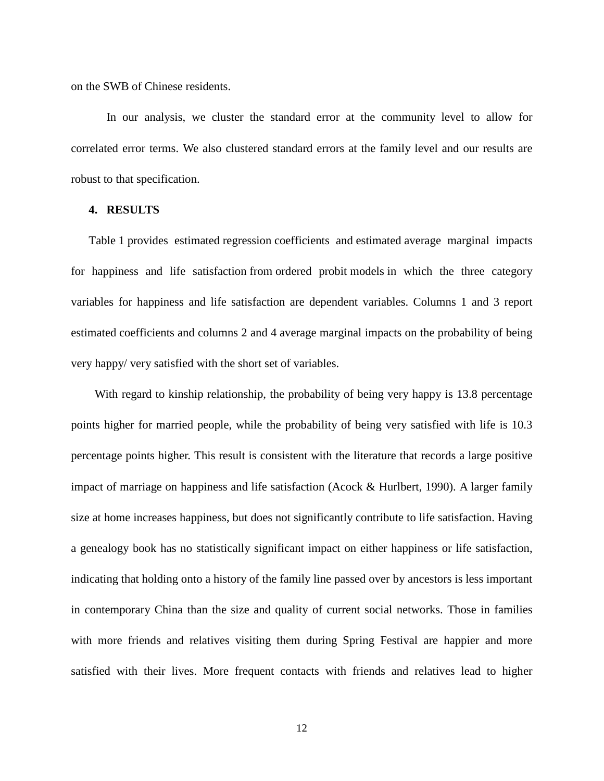on the SWB of Chinese residents.

In our analysis, we cluster the standard error at the community level to allow for correlated error terms. We also clustered standard errors at the family level and our results are robust to that specification.

#### **4. RESULTS**

Table 1 provides estimated regression coefficients and estimated average marginal impacts for happiness and life satisfaction from ordered probit models in which the three category variables for happiness and life satisfaction are dependent variables. Columns 1 and 3 report estimated coefficients and columns 2 and 4 average marginal impacts on the probability of being very happy/ very satisfied with the short set of variables.

With regard to kinship relationship, the probability of being very happy is 13.8 percentage points higher for married people, while the probability of being very satisfied with life is 10.3 percentage points higher. This result is consistent with the literature that records a large positive impact of marriage on happiness and life satisfaction (Acock & Hurlbert, 1990). A larger family size at home increases happiness, but does not significantly contribute to life satisfaction. Having a genealogy book has no statistically significant impact on either happiness or life satisfaction, indicating that holding onto a history of the family line passed over by ancestors is less important in contemporary China than the size and quality of current social networks. Those in families with more friends and relatives visiting them during Spring Festival are happier and more satisfied with their lives. More frequent contacts with friends and relatives lead to higher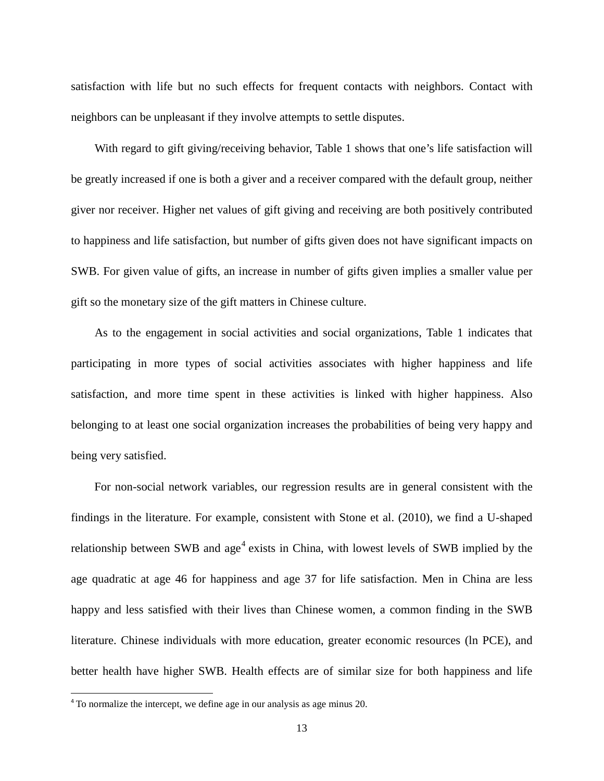satisfaction with life but no such effects for frequent contacts with neighbors. Contact with neighbors can be unpleasant if they involve attempts to settle disputes.

With regard to gift giving/receiving behavior, Table 1 shows that one's life satisfaction will be greatly increased if one is both a giver and a receiver compared with the default group, neither giver nor receiver. Higher net values of gift giving and receiving are both positively contributed to happiness and life satisfaction, but number of gifts given does not have significant impacts on SWB. For given value of gifts, an increase in number of gifts given implies a smaller value per gift so the monetary size of the gift matters in Chinese culture.

As to the engagement in social activities and social organizations, Table 1 indicates that participating in more types of social activities associates with higher happiness and life satisfaction, and more time spent in these activities is linked with higher happiness. Also belonging to at least one social organization increases the probabilities of being very happy and being very satisfied.

<span id="page-15-0"></span>For non-social network variables, our regression results are in general consistent with the findings in the literature. For example, consistent with Stone et al. (2010), we find a U-shaped relationship between SWB and  $age<sup>4</sup>$  $age<sup>4</sup>$  $age<sup>4</sup>$  exists in China, with lowest levels of SWB implied by the age quadratic at age 46 for happiness and age 37 for life satisfaction. Men in China are less happy and less satisfied with their lives than Chinese women, a common finding in the SWB literature. Chinese individuals with more education, greater economic resources (ln PCE), and better health have higher SWB. Health effects are of similar size for both happiness and life

 <sup>4</sup> To normalize the intercept, we define age in our analysis as age minus 20.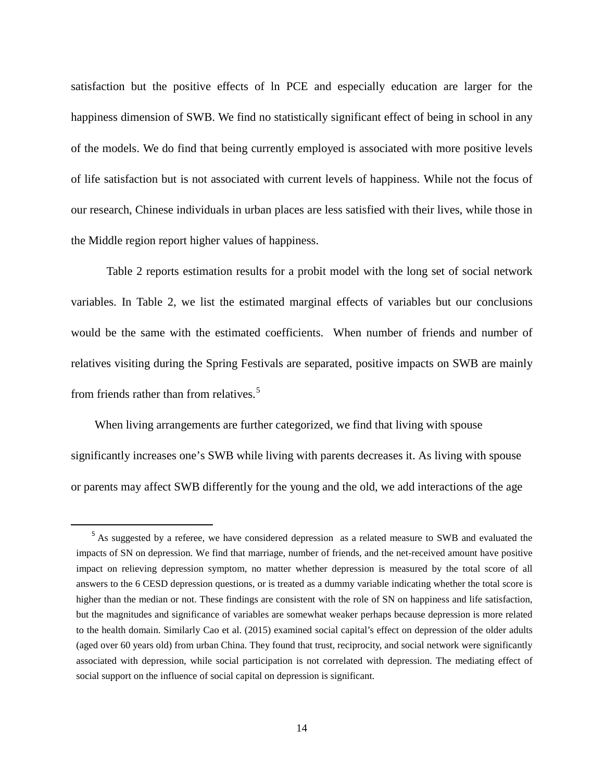satisfaction but the positive effects of ln PCE and especially education are larger for the happiness dimension of SWB. We find no statistically significant effect of being in school in any of the models. We do find that being currently employed is associated with more positive levels of life satisfaction but is not associated with current levels of happiness. While not the focus of our research, Chinese individuals in urban places are less satisfied with their lives, while those in the Middle region report higher values of happiness.

Table 2 reports estimation results for a probit model with the long set of social network variables. In Table 2, we list the estimated marginal effects of variables but our conclusions would be the same with the estimated coefficients. When number of friends and number of relatives visiting during the Spring Festivals are separated, positive impacts on SWB are mainly from friends rather than from relatives.<sup>[5](#page-15-0)</sup>

When living arrangements are further categorized, we find that living with spouse significantly increases one's SWB while living with parents decreases it. As living with spouse or parents may affect SWB differently for the young and the old, we add interactions of the age

<sup>&</sup>lt;sup>5</sup> As suggested by a referee, we have considered depression as a related measure to SWB and evaluated the impacts of SN on depression. We find that marriage, number of friends, and the net-received amount have positive impact on relieving depression symptom, no matter whether depression is measured by the total score of all answers to the 6 CESD depression questions, or is treated as a dummy variable indicating whether the total score is higher than the median or not. These findings are consistent with the role of SN on happiness and life satisfaction, but the magnitudes and significance of variables are somewhat weaker perhaps because depression is more related to the health domain. Similarly Cao et al. (2015) examined social capital's effect on depression of the older adults (aged over 60 years old) from urban China. They found that trust, reciprocity, and social network were significantly associated with depression, while social participation is not correlated with depression. The mediating effect of social support on the influence of social capital on depression is significant.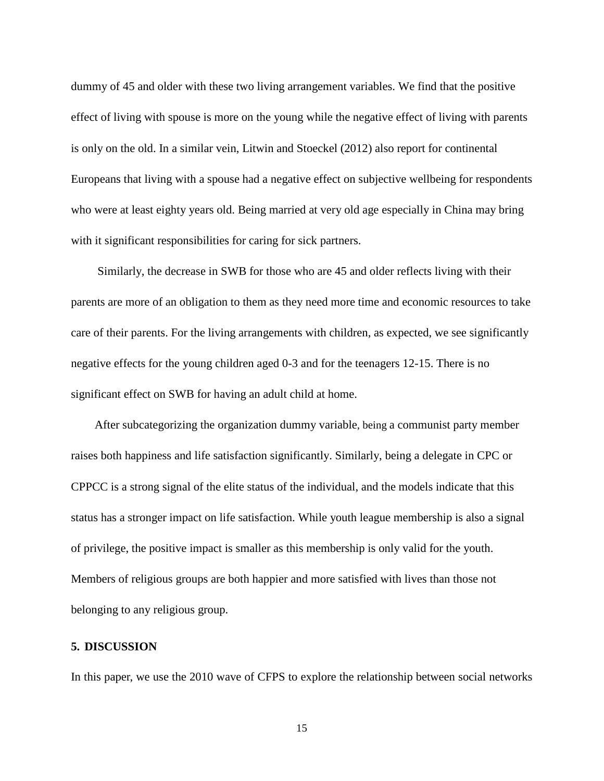dummy of 45 and older with these two living arrangement variables. We find that the positive effect of living with spouse is more on the young while the negative effect of living with parents is only on the old. In a similar vein, Litwin and Stoeckel (2012) also report for continental Europeans that living with a spouse had a negative effect on subjective wellbeing for respondents who were at least eighty years old. Being married at very old age especially in China may bring with it significant responsibilities for caring for sick partners.

Similarly, the decrease in SWB for those who are 45 and older reflects living with their parents are more of an obligation to them as they need more time and economic resources to take care of their parents. For the living arrangements with children, as expected, we see significantly negative effects for the young children aged 0-3 and for the teenagers 12-15. There is no significant effect on SWB for having an adult child at home.

After subcategorizing the organization dummy variable, being a communist party member raises both happiness and life satisfaction significantly. Similarly, being a delegate in CPC or CPPCC is a strong signal of the elite status of the individual, and the models indicate that this status has a stronger impact on life satisfaction. While youth league membership is also a signal of privilege, the positive impact is smaller as this membership is only valid for the youth. Members of religious groups are both happier and more satisfied with lives than those not belonging to any religious group.

#### **5. DISCUSSION**

In this paper, we use the 2010 wave of CFPS to explore the relationship between social networks

15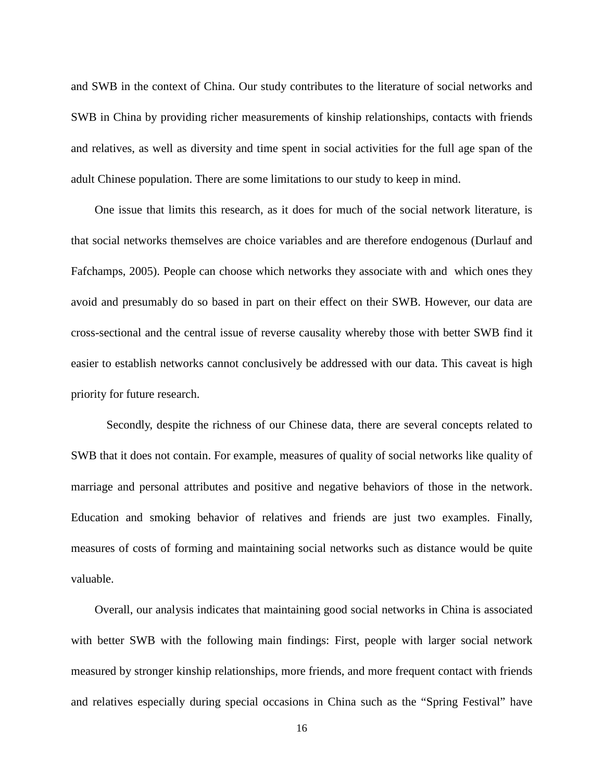and SWB in the context of China. Our study contributes to the literature of social networks and SWB in China by providing richer measurements of kinship relationships, contacts with friends and relatives, as well as diversity and time spent in social activities for the full age span of the adult Chinese population. There are some limitations to our study to keep in mind.

One issue that limits this research, as it does for much of the social network literature, is that social networks themselves are choice variables and are therefore endogenous (Durlauf and Fafchamps, 2005). People can choose which networks they associate with and which ones they avoid and presumably do so based in part on their effect on their SWB. However, our data are cross-sectional and the central issue of reverse causality whereby those with better SWB find it easier to establish networks cannot conclusively be addressed with our data. This caveat is high priority for future research.

Secondly, despite the richness of our Chinese data, there are several concepts related to SWB that it does not contain. For example, measures of quality of social networks like quality of marriage and personal attributes and positive and negative behaviors of those in the network. Education and smoking behavior of relatives and friends are just two examples. Finally, measures of costs of forming and maintaining social networks such as distance would be quite valuable.

Overall, our analysis indicates that maintaining good social networks in China is associated with better SWB with the following main findings: First, people with larger social network measured by stronger kinship relationships, more friends, and more frequent contact with friends and relatives especially during special occasions in China such as the "Spring Festival" have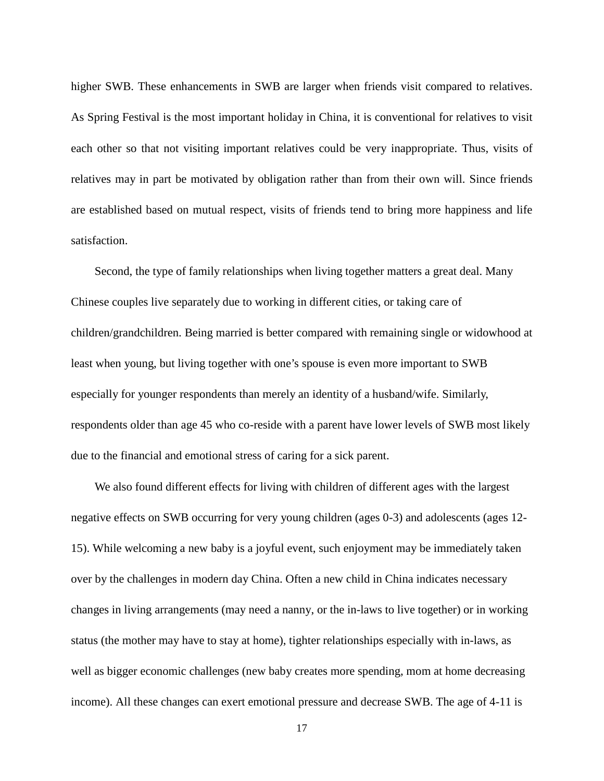higher SWB. These enhancements in SWB are larger when friends visit compared to relatives. As Spring Festival is the most important holiday in China, it is conventional for relatives to visit each other so that not visiting important relatives could be very inappropriate. Thus, visits of relatives may in part be motivated by obligation rather than from their own will. Since friends are established based on mutual respect, visits of friends tend to bring more happiness and life satisfaction.

Second, the type of family relationships when living together matters a great deal. Many Chinese couples live separately due to working in different cities, or taking care of children/grandchildren. Being married is better compared with remaining single or widowhood at least when young, but living together with one's spouse is even more important to SWB especially for younger respondents than merely an identity of a husband/wife. Similarly, respondents older than age 45 who co-reside with a parent have lower levels of SWB most likely due to the financial and emotional stress of caring for a sick parent.

We also found different effects for living with children of different ages with the largest negative effects on SWB occurring for very young children (ages 0-3) and adolescents (ages 12- 15). While welcoming a new baby is a joyful event, such enjoyment may be immediately taken over by the challenges in modern day China. Often a new child in China indicates necessary changes in living arrangements (may need a nanny, or the in-laws to live together) or in working status (the mother may have to stay at home), tighter relationships especially with in-laws, as well as bigger economic challenges (new baby creates more spending, mom at home decreasing income). All these changes can exert emotional pressure and decrease SWB. The age of 4-11 is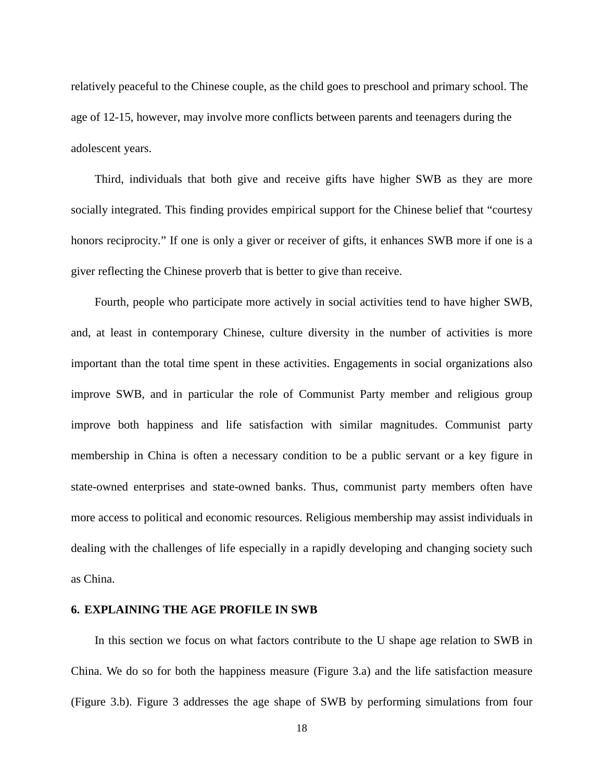relatively peaceful to the Chinese couple, as the child goes to preschool and primary school. The age of 12-15, however, may involve more conflicts between parents and teenagers during the adolescent years.

Third, individuals that both give and receive gifts have higher SWB as they are more socially integrated. This finding provides empirical support for the Chinese belief that "courtesy honors reciprocity." If one is only a giver or receiver of gifts, it enhances SWB more if one is a giver reflecting the Chinese proverb that is better to give than receive.

Fourth, people who participate more actively in social activities tend to have higher SWB, and, at least in contemporary Chinese, culture diversity in the number of activities is more important than the total time spent in these activities. Engagements in social organizations also improve SWB, and in particular the role of Communist Party member and religious group improve both happiness and life satisfaction with similar magnitudes. Communist party membership in China is often a necessary condition to be a public servant or a key figure in state-owned enterprises and state-owned banks. Thus, communist party members often have more access to political and economic resources. Religious membership may assist individuals in dealing with the challenges of life especially in a rapidly developing and changing society such as China.

#### **6. EXPLAINING THE AGE PROFILE IN SWB**

In this section we focus on what factors contribute to the U shape age relation to SWB in China. We do so for both the happiness measure (Figure 3.a) and the life satisfaction measure (Figure 3.b). Figure 3 addresses the age shape of SWB by performing simulations from four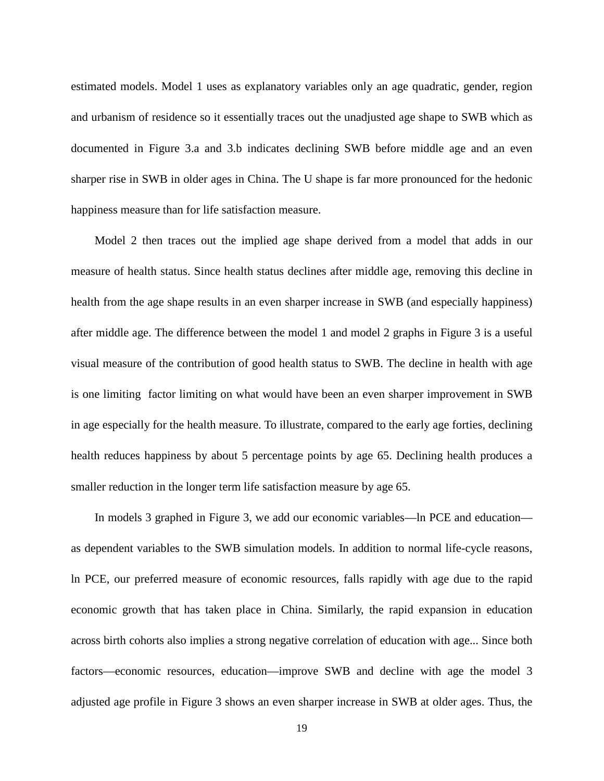estimated models. Model 1 uses as explanatory variables only an age quadratic, gender, region and urbanism of residence so it essentially traces out the unadjusted age shape to SWB which as documented in Figure 3.a and 3.b indicates declining SWB before middle age and an even sharper rise in SWB in older ages in China. The U shape is far more pronounced for the hedonic happiness measure than for life satisfaction measure.

Model 2 then traces out the implied age shape derived from a model that adds in our measure of health status. Since health status declines after middle age, removing this decline in health from the age shape results in an even sharper increase in SWB (and especially happiness) after middle age. The difference between the model 1 and model 2 graphs in Figure 3 is a useful visual measure of the contribution of good health status to SWB. The decline in health with age is one limiting factor limiting on what would have been an even sharper improvement in SWB in age especially for the health measure. To illustrate, compared to the early age forties, declining health reduces happiness by about 5 percentage points by age 65. Declining health produces a smaller reduction in the longer term life satisfaction measure by age 65.

In models 3 graphed in Figure 3, we add our economic variables—ln PCE and education as dependent variables to the SWB simulation models. In addition to normal life-cycle reasons, ln PCE, our preferred measure of economic resources, falls rapidly with age due to the rapid economic growth that has taken place in China. Similarly, the rapid expansion in education across birth cohorts also implies a strong negative correlation of education with age... Since both factors—economic resources, education—improve SWB and decline with age the model 3 adjusted age profile in Figure 3 shows an even sharper increase in SWB at older ages. Thus, the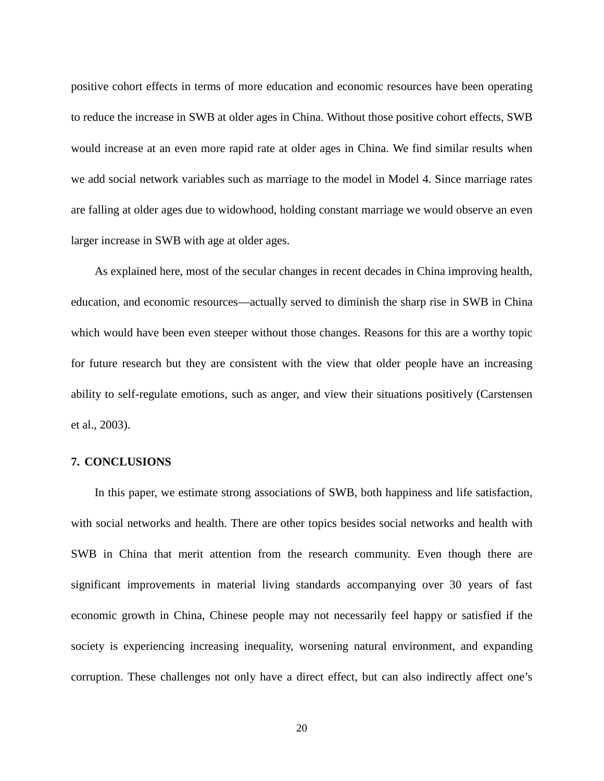positive cohort effects in terms of more education and economic resources have been operating to reduce the increase in SWB at older ages in China. Without those positive cohort effects, SWB would increase at an even more rapid rate at older ages in China. We find similar results when we add social network variables such as marriage to the model in Model 4. Since marriage rates are falling at older ages due to widowhood, holding constant marriage we would observe an even larger increase in SWB with age at older ages.

As explained here, most of the secular changes in recent decades in China improving health, education, and economic resources—actually served to diminish the sharp rise in SWB in China which would have been even steeper without those changes. Reasons for this are a worthy topic for future research but they are consistent with the view that older people have an increasing ability to self-regulate emotions, such as anger, and view their situations positively (Carstensen et al., 2003).

#### **7. CONCLUSIONS**

In this paper, we estimate strong associations of SWB, both happiness and life satisfaction, with social networks and health. There are other topics besides social networks and health with SWB in China that merit attention from the research community. Even though there are significant improvements in material living standards accompanying over 30 years of fast economic growth in China, Chinese people may not necessarily feel happy or satisfied if the society is experiencing increasing inequality, worsening natural environment, and expanding corruption. These challenges not only have a direct effect, but can also indirectly affect one's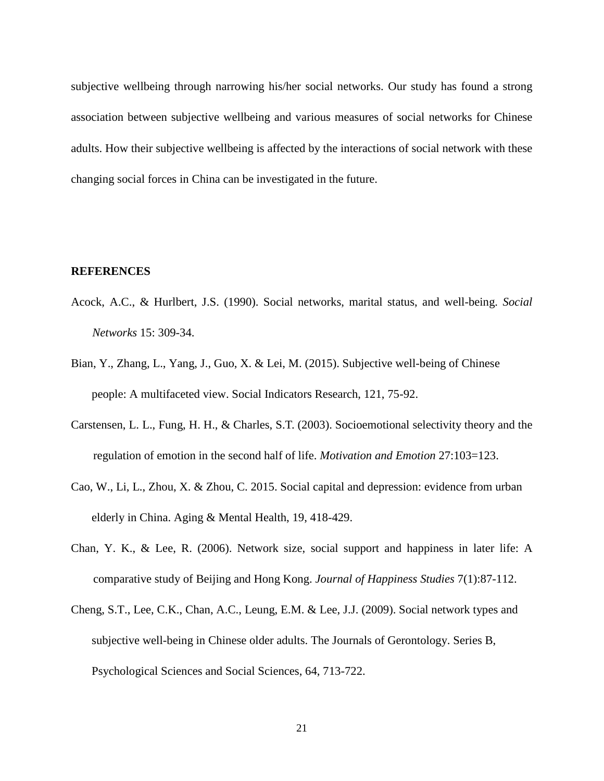subjective wellbeing through narrowing his/her social networks. Our study has found a strong association between subjective wellbeing and various measures of social networks for Chinese adults. How their subjective wellbeing is affected by the interactions of social network with these changing social forces in China can be investigated in the future.

#### **REFERENCES**

- Acock, A.C., & Hurlbert, J.S. (1990). Social networks, marital status, and well-being. *Social Networks* 15: 309-34.
- Bian, Y., Zhang, L., Yang, J., Guo, X. & Lei, M. (2015). Subjective well-being of Chinese people: A multifaceted view. Social Indicators Research, 121, 75-92.
- Carstensen, L. L., Fung, H. H., & Charles, S.T. (2003). Socioemotional selectivity theory and the regulation of emotion in the second half of life. *Motivation and Emotion* 27:103=123.
- Cao, W., Li, L., Zhou, X. & Zhou, C. 2015. Social capital and depression: evidence from urban elderly in China. Aging & Mental Health, 19, 418-429.
- Chan, Y. K., & Lee, R. (2006). Network size, social support and happiness in later life: A comparative study of Beijing and Hong Kong. *Journal of Happiness Studies* 7(1):87-112.
- Cheng, S.T., Lee, C.K., Chan, A.C., Leung, E.M. & Lee, J.J. (2009). Social network types and subjective well-being in Chinese older adults. The Journals of Gerontology. Series B, Psychological Sciences and Social Sciences, 64, 713-722.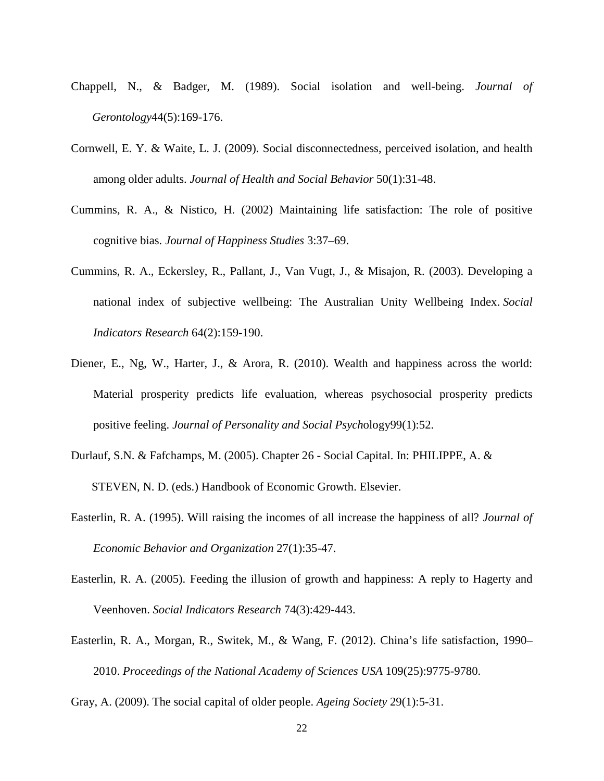- Chappell, N., & Badger, M. (1989). Social isolation and well-being. *Journal of Gerontology*44(5):169-176.
- Cornwell, E. Y. & Waite, L. J. (2009). Social disconnectedness, perceived isolation, and health among older adults. *Journal of Health and Social Behavior* 50(1):31-48.
- Cummins, R. A., & Nistico, H. (2002) Maintaining life satisfaction: The role of positive cognitive bias. *Journal of Happiness Studies* 3:37–69.
- Cummins, R. A., Eckersley, R., Pallant, J., Van Vugt, J., & Misajon, R. (2003). Developing a national index of subjective wellbeing: The Australian Unity Wellbeing Index. *Social Indicators Research* 64(2):159-190.
- Diener, E., Ng, W., Harter, J., & Arora, R. (2010). Wealth and happiness across the world: Material prosperity predicts life evaluation, whereas psychosocial prosperity predicts positive feeling. *Journal of Personality and Social Psych*ology99(1):52.
- Durlauf, S.N. & Fafchamps, M. (2005). Chapter 26 Social Capital. In: PHILIPPE, A. & STEVEN, N. D. (eds.) Handbook of Economic Growth. Elsevier.
- Easterlin, R. A. (1995). Will raising the incomes of all increase the happiness of all? *Journal of Economic Behavior and Organization* 27(1):35-47.
- Easterlin, R. A. (2005). Feeding the illusion of growth and happiness: A reply to Hagerty and Veenhoven. *Social Indicators Research* 74(3):429-443.
- Easterlin, R. A., Morgan, R., Switek, M., & Wang, F. (2012). China's life satisfaction, 1990– 2010. *Proceedings of the National Academy of Sciences USA* 109(25):9775-9780.
- Gray, A. (2009). The social capital of older people. *Ageing Society* 29(1):5-31.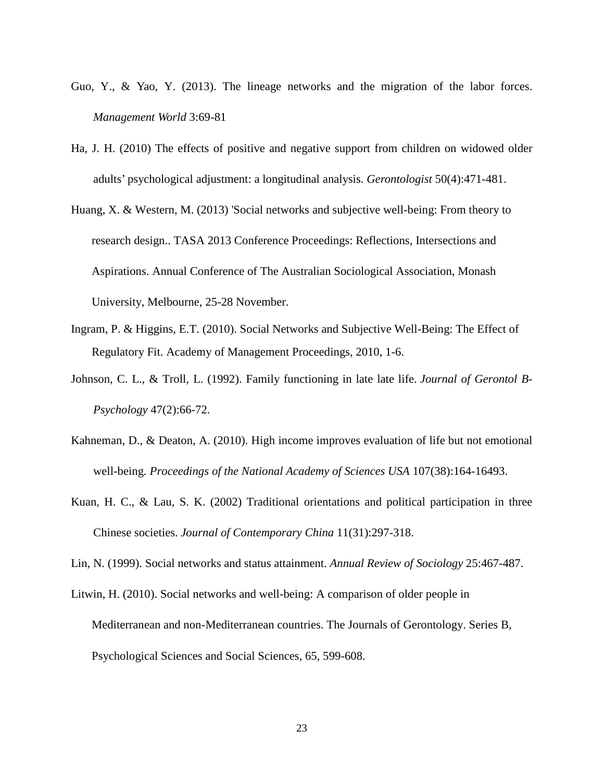- Guo, Y., & Yao, Y. (2013). The lineage networks and the migration of the labor forces. *Management World* 3:69-81
- Ha, J. H. (2010) The effects of positive and negative support from children on widowed older adults' psychological adjustment: a longitudinal analysis. *Gerontologist* 50(4):471-481.
- Huang, X. & Western, M. (2013) 'Social networks and subjective well-being: From theory to research design.. TASA 2013 Conference Proceedings: Reflections, Intersections and Aspirations. Annual Conference of The Australian Sociological Association, Monash University, Melbourne, 25-28 November.
- Ingram, P. & Higgins, E.T. (2010). Social Networks and Subjective Well-Being: The Effect of Regulatory Fit. Academy of Management Proceedings, 2010, 1-6.
- Johnson, C. L., & Troll, L. (1992). Family functioning in late late life. *Journal of Gerontol B-Psychology* 47(2):66-72.
- Kahneman, D., & Deaton, A. (2010). High income improves evaluation of life but not emotional well-being*. Proceedings of the National Academy of Sciences USA* 107(38):164-16493.
- Kuan, H. C., & Lau, S. K. (2002) Traditional orientations and political participation in three Chinese societies. *Journal of Contemporary China* 11(31):297-318.
- Lin, N. (1999). Social networks and status attainment. *Annual Review of Sociology* 25:467-487.
- Litwin, H. (2010). Social networks and well-being: A comparison of older people in Mediterranean and non-Mediterranean countries. The Journals of Gerontology. Series B, Psychological Sciences and Social Sciences, 65, 599-608.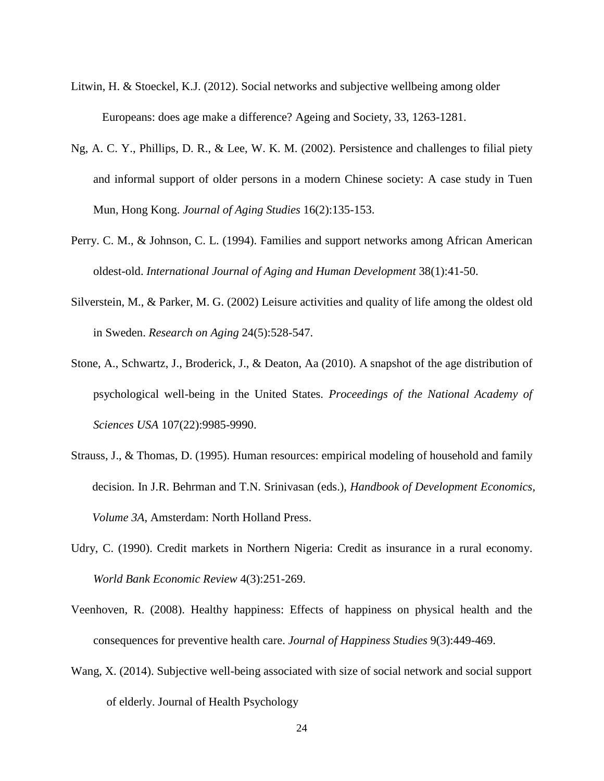- Litwin, H. & Stoeckel, K.J. (2012). Social networks and subjective wellbeing among older Europeans: does age make a difference? Ageing and Society, 33, 1263-1281.
- Ng, A. C. Y., Phillips, D. R., & Lee, W. K. M. (2002). Persistence and challenges to filial piety and informal support of older persons in a modern Chinese society: A case study in Tuen Mun, Hong Kong. *Journal of Aging Studies* 16(2):135-153.
- Perry. C. M., & Johnson, C. L. (1994). Families and support networks among African American oldest-old. *International Journal of Aging and Human Development* 38(1):41-50.
- Silverstein, M., & Parker, M. G. (2002) Leisure activities and quality of life among the oldest old in Sweden. *Research on Aging* 24(5):528-547.
- Stone, A., Schwartz, J., Broderick, J., & Deaton, Aa (2010). A snapshot of the age distribution of psychological well-being in the United States. *Proceedings of the National Academy of Sciences USA* 107(22):9985-9990.
- Strauss, J., & Thomas, D. (1995). Human resources: empirical modeling of household and family decision. In J.R. Behrman and T.N. Srinivasan (eds.), *Handbook of Development Economics, Volume 3A*, Amsterdam: North Holland Press.
- Udry, C. (1990). Credit markets in Northern Nigeria: Credit as insurance in a rural economy. *World Bank Economic Review* 4(3):251-269.
- Veenhoven, R. (2008). Healthy happiness: Effects of happiness on physical health and the consequences for preventive health care. *Journal of Happiness Studies* 9(3):449-469.
- Wang, X. (2014). Subjective well-being associated with size of social network and social support of elderly. Journal of Health Psychology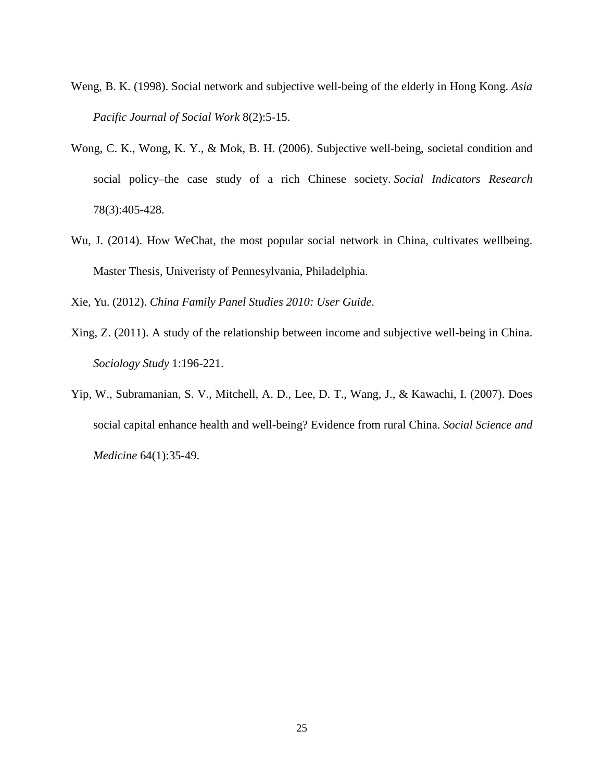- Weng, B. K. (1998). Social network and subjective well-being of the elderly in Hong Kong. *Asia Pacific Journal of Social Work* 8(2):5-15.
- Wong, C. K., Wong, K. Y., & Mok, B. H. (2006). Subjective well-being, societal condition and social policy–the case study of a rich Chinese society. *Social Indicators Research* 78(3):405-428.
- Wu, J. (2014). How WeChat, the most popular social network in China, cultivates wellbeing. Master Thesis, Univeristy of Pennesylvania, Philadelphia.

Xie, Yu. (2012). *China Family Panel Studies 2010: User Guide*.

- Xing, Z. (2011). A study of the relationship between income and subjective well-being in China. *Sociology Study* 1:196-221.
- Yip, W., Subramanian, S. V., Mitchell, A. D., Lee, D. T., Wang, J., & Kawachi, I. (2007). Does social capital enhance health and well-being? Evidence from rural China. *Social Science and Medicine* 64(1):35-49.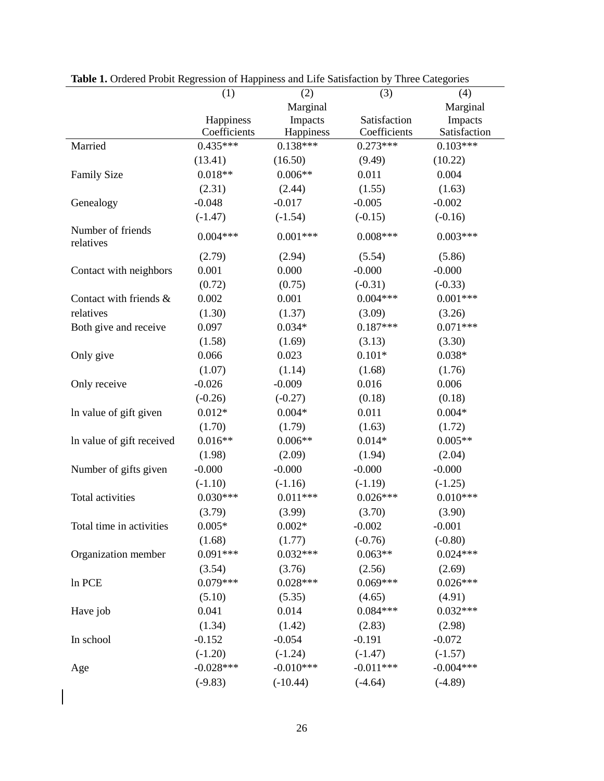| <b>Table 1.</b> Ordered From Regression of Flappiness and Ene Bansfaction by Timee Categories |                           |                         |                              |                         |
|-----------------------------------------------------------------------------------------------|---------------------------|-------------------------|------------------------------|-------------------------|
|                                                                                               | (1)                       | (2)                     | (3)                          | (4)                     |
|                                                                                               |                           | Marginal                |                              | Marginal                |
|                                                                                               | Happiness<br>Coefficients | Impacts                 | Satisfaction<br>Coefficients | Impacts<br>Satisfaction |
| Married                                                                                       | $0.435***$                | Happiness<br>$0.138***$ | $0.273***$                   | $0.103***$              |
|                                                                                               | (13.41)                   | (16.50)                 | (9.49)                       | (10.22)                 |
|                                                                                               | $0.018**$                 | $0.006**$               |                              | 0.004                   |
| Family Size                                                                                   |                           |                         | 0.011                        |                         |
|                                                                                               | (2.31)                    | (2.44)                  | (1.55)                       | (1.63)                  |
| Genealogy                                                                                     | $-0.048$                  | $-0.017$                | $-0.005$                     | $-0.002$                |
|                                                                                               | $(-1.47)$                 | $(-1.54)$               | $(-0.15)$                    | $(-0.16)$               |
| Number of friends<br>relatives                                                                | $0.004***$                | $0.001***$              | $0.008***$                   | $0.003***$              |
|                                                                                               | (2.79)                    | (2.94)                  | (5.54)                       | (5.86)                  |
| Contact with neighbors                                                                        | 0.001                     | 0.000                   | $-0.000$                     | $-0.000$                |
|                                                                                               | (0.72)                    | (0.75)                  | $(-0.31)$                    | $(-0.33)$               |
| Contact with friends &                                                                        | 0.002                     | 0.001                   | $0.004***$                   | $0.001***$              |
| relatives                                                                                     | (1.30)                    | (1.37)                  | (3.09)                       | (3.26)                  |
| Both give and receive                                                                         | 0.097                     | $0.034*$                | $0.187***$                   | $0.071***$              |
|                                                                                               | (1.58)                    | (1.69)                  | (3.13)                       | (3.30)                  |
| Only give                                                                                     | 0.066                     | 0.023                   | $0.101*$                     | $0.038*$                |
|                                                                                               | (1.07)                    | (1.14)                  | (1.68)                       | (1.76)                  |
| Only receive                                                                                  | $-0.026$                  | $-0.009$                | 0.016                        | 0.006                   |
|                                                                                               | $(-0.26)$                 | $(-0.27)$               | (0.18)                       | (0.18)                  |
| In value of gift given                                                                        | $0.012*$                  | $0.004*$                | 0.011                        | $0.004*$                |
|                                                                                               | (1.70)                    | (1.79)                  | (1.63)                       | (1.72)                  |
| In value of gift received                                                                     | $0.016**$                 | $0.006**$               | $0.014*$                     | $0.005**$               |
|                                                                                               | (1.98)                    | (2.09)                  | (1.94)                       | (2.04)                  |
| Number of gifts given                                                                         | $-0.000$                  | $-0.000$                | $-0.000$                     | $-0.000$                |
|                                                                                               | $(-1.10)$                 | $(-1.16)$               | $(-1.19)$                    | $(-1.25)$               |
| Total activities                                                                              | $0.030***$                | $0.011***$              | $0.026***$                   | $0.010***$              |
|                                                                                               | (3.79)                    | (3.99)                  | (3.70)                       | (3.90)                  |
| Total time in activities                                                                      | $0.005*$                  | $0.002*$                | $-0.002$                     | $-0.001$                |
|                                                                                               | (1.68)                    | (1.77)                  | $(-0.76)$                    | $(-0.80)$               |
| Organization member                                                                           | $0.091***$                | $0.032***$              | $0.063**$                    | $0.024***$              |
|                                                                                               | (3.54)                    | (3.76)                  | (2.56)                       | (2.69)                  |
| In PCE                                                                                        | $0.079***$                | $0.028***$              | $0.069***$                   | $0.026***$              |
|                                                                                               | (5.10)                    | (5.35)                  | (4.65)                       | (4.91)                  |
| Have job                                                                                      | 0.041                     | 0.014                   | $0.084***$                   | $0.032***$              |
|                                                                                               | (1.34)                    | (1.42)                  | (2.83)                       | (2.98)                  |
| In school                                                                                     | $-0.152$                  | $-0.054$                | $-0.191$                     | $-0.072$                |
|                                                                                               | $(-1.20)$                 | $(-1.24)$               | $(-1.47)$                    | $(-1.57)$               |
| Age                                                                                           | $-0.028***$               | $-0.010***$             | $-0.011***$                  | $-0.004***$             |
|                                                                                               | $(-9.83)$                 | $(-10.44)$              | $(-4.64)$                    | $(-4.89)$               |

**Table 1.** Ordered Probit Regression of Happiness and Life Satisfaction by Three Categories

<span id="page-28-0"></span>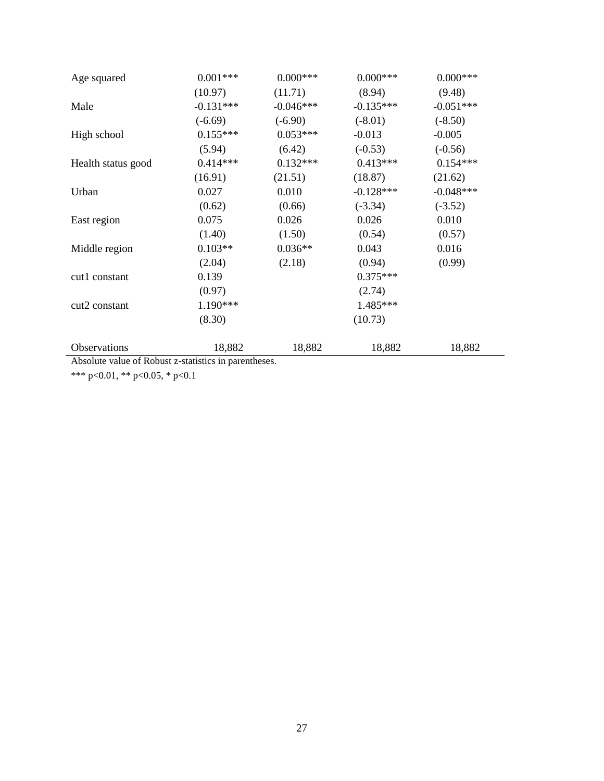| Age squared               | $0.001***$  | $0.000***$  | $0.000***$  | $0.000***$  |
|---------------------------|-------------|-------------|-------------|-------------|
|                           | (10.97)     | (11.71)     | (8.94)      | (9.48)      |
| Male                      | $-0.131***$ | $-0.046***$ | $-0.135***$ | $-0.051***$ |
|                           | $(-6.69)$   | $(-6.90)$   | $(-8.01)$   | $(-8.50)$   |
| High school               | $0.155***$  | $0.053***$  | $-0.013$    | $-0.005$    |
|                           | (5.94)      | (6.42)      | $(-0.53)$   | $(-0.56)$   |
| Health status good        | $0.414***$  | $0.132***$  | $0.413***$  | $0.154***$  |
|                           | (16.91)     | (21.51)     | (18.87)     | (21.62)     |
| Urban                     | 0.027       | 0.010       | $-0.128***$ | $-0.048***$ |
|                           | (0.62)      | (0.66)      | $(-3.34)$   | $(-3.52)$   |
| East region               | 0.075       | 0.026       | 0.026       | 0.010       |
|                           | (1.40)      | (1.50)      | (0.54)      | (0.57)      |
| Middle region             | $0.103**$   | $0.036**$   | 0.043       | 0.016       |
|                           | (2.04)      | (2.18)      | (0.94)      | (0.99)      |
| cut1 constant             | 0.139       |             | $0.375***$  |             |
|                           | (0.97)      |             | (2.74)      |             |
| cut <sub>2</sub> constant | 1.190***    |             | 1.485***    |             |
|                           | (8.30)      |             | (10.73)     |             |
| Observations              | 18,882      | 18,882      | 18,882      | 18,882      |

Absolute value of Robust z-statistics in parentheses.

\*\*\* p<0.01, \*\* p<0.05, \* p<0.1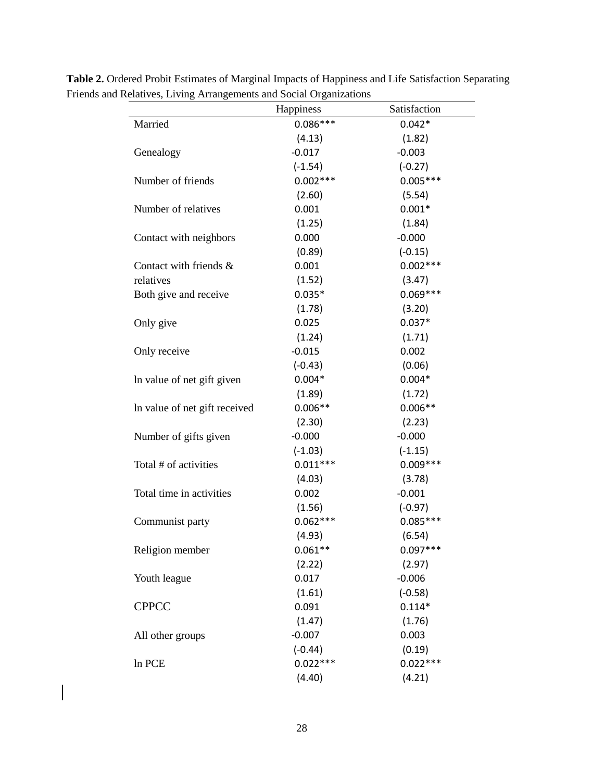|                               | Happiness  | Satisfaction |
|-------------------------------|------------|--------------|
| Married                       | $0.086***$ | $0.042*$     |
|                               | (4.13)     | (1.82)       |
| Genealogy                     | $-0.017$   | $-0.003$     |
|                               | $(-1.54)$  | $(-0.27)$    |
| Number of friends             | $0.002***$ | $0.005***$   |
|                               | (2.60)     | (5.54)       |
| Number of relatives           | 0.001      | $0.001*$     |
|                               | (1.25)     | (1.84)       |
| Contact with neighbors        | 0.000      | $-0.000$     |
|                               | (0.89)     | $(-0.15)$    |
| Contact with friends &        | 0.001      | $0.002***$   |
| relatives                     | (1.52)     | (3.47)       |
| Both give and receive         | $0.035*$   | $0.069***$   |
|                               | (1.78)     | (3.20)       |
| Only give                     | 0.025      | $0.037*$     |
|                               | (1.24)     | (1.71)       |
| Only receive                  | $-0.015$   | 0.002        |
|                               | $(-0.43)$  | (0.06)       |
| In value of net gift given    | $0.004*$   | $0.004*$     |
|                               | (1.89)     | (1.72)       |
| In value of net gift received | $0.006**$  | $0.006**$    |
|                               | (2.30)     | (2.23)       |
| Number of gifts given         | $-0.000$   | $-0.000$     |
|                               | $(-1.03)$  | $(-1.15)$    |
| Total # of activities         | $0.011***$ | $0.009***$   |
|                               | (4.03)     | (3.78)       |
| Total time in activities      | 0.002      | $-0.001$     |
|                               | (1.56)     | $(-0.97)$    |
| Communist party               | $0.062***$ | $0.085***$   |
|                               | (4.93)     | (6.54)       |
| Religion member               | $0.061**$  | $0.097***$   |
|                               | (2.22)     | (2.97)       |
| Youth league                  | 0.017      | $-0.006$     |
|                               | (1.61)     | $(-0.58)$    |
| <b>CPPCC</b>                  | 0.091      | $0.114*$     |
|                               | (1.47)     | (1.76)       |
| All other groups              | $-0.007$   | 0.003        |
|                               | $(-0.44)$  | (0.19)       |
| In PCE                        | $0.022***$ | $0.022***$   |
|                               | (4.40)     | (4.21)       |

**Table 2.** Ordered Probit Estimates of Marginal Impacts of Happiness and Life Satisfaction Separating Friends and Relatives, Living Arrangements and Social Organizations  $\overline{\phantom{a}}$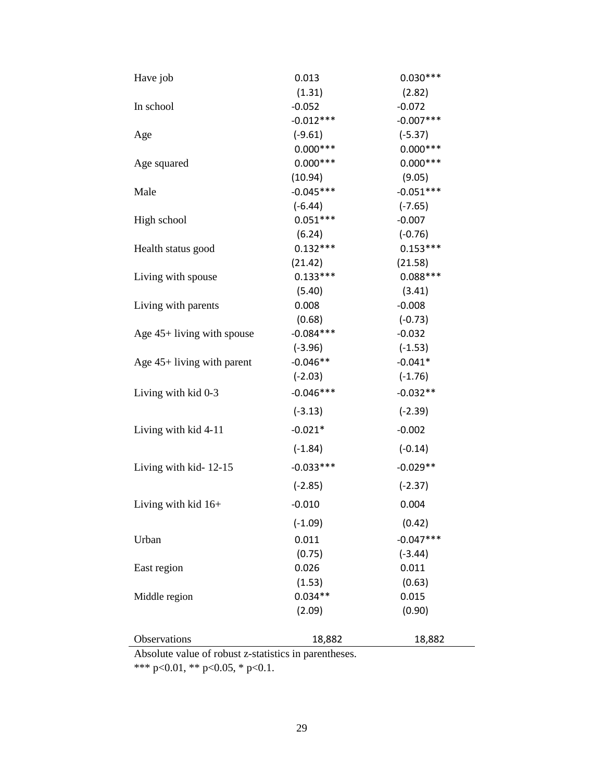| Have job                             | 0.013                   | $0.030***$             |
|--------------------------------------|-------------------------|------------------------|
|                                      | (1.31)                  | (2.82)                 |
| In school                            | $-0.052$                | $-0.072$               |
|                                      | $-0.012***$             | $-0.007***$            |
| Age                                  | $(-9.61)$               | $(-5.37)$              |
|                                      | $0.000***$              | $0.000***$             |
| Age squared                          | $0.000***$              | $0.000***$             |
|                                      | (10.94)                 | (9.05)                 |
| Male                                 | $-0.045***$             | $-0.051***$            |
|                                      | $(-6.44)$               | $(-7.65)$              |
| High school                          | $0.051***$              | $-0.007$               |
|                                      | (6.24)                  | $(-0.76)$              |
| Health status good                   | $0.132***$              | $0.153***$             |
|                                      | (21.42)                 | (21.58)                |
| Living with spouse                   | $0.133***$              | $0.088***$             |
|                                      | (5.40)                  | (3.41)                 |
| Living with parents                  | 0.008                   | $-0.008$               |
|                                      | (0.68)                  | $(-0.73)$              |
| Age $45+$ living with spouse         | $-0.084***$             | $-0.032$               |
|                                      | $(-3.96)$               | $(-1.53)$              |
| Age $45+$ living with parent         | $-0.046**$<br>$(-2.03)$ | $-0.041*$<br>$(-1.76)$ |
|                                      |                         |                        |
| Living with kid 0-3                  | $-0.046***$             | $-0.032**$             |
|                                      | $(-3.13)$               | $(-2.39)$              |
| Living with kid 4-11                 | $-0.021*$               | $-0.002$               |
|                                      | $(-1.84)$               | $(-0.14)$              |
| Living with kid-12-15                | $-0.033***$             | $-0.029**$             |
|                                      | $(-2.85)$               | $(-2.37)$              |
| Living with kid $16+$                | $-0.010$                | 0.004                  |
|                                      | $(-1.09)$               | (0.42)                 |
| Urban                                | 0.011                   | $-0.047***$            |
|                                      | (0.75)                  | $(-3.44)$              |
| East region                          | 0.026                   | 0.011                  |
|                                      | (1.53)                  | (0.63)                 |
| Middle region                        | $0.034**$               | 0.015                  |
|                                      | (2.09)                  | (0.90)                 |
| Observations                         | 18,882                  | 18,882                 |
| Absolute velve of repuet z etatietic |                         |                        |

Absolute value of robust z-statistics in parentheses.

\*\*\* p<0.01, \*\* p<0.05, \* p<0.1.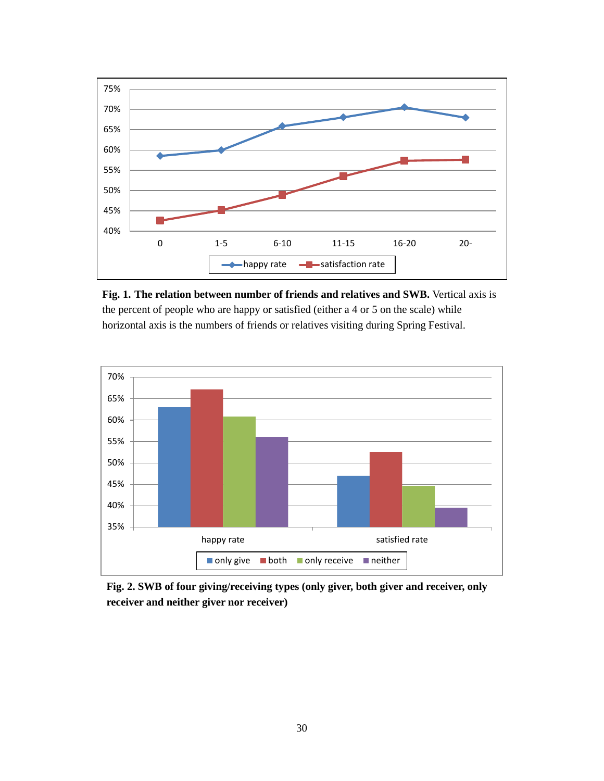

**Fig. 1. The relation between number of friends and relatives and SWB.** Vertical axis is the percent of people who are happy or satisfied (either a 4 or 5 on the scale) while horizontal axis is the numbers of friends or relatives visiting during Spring Festival.



**Fig. 2. SWB of four giving/receiving types (only giver, both giver and receiver, only receiver and neither giver nor receiver)**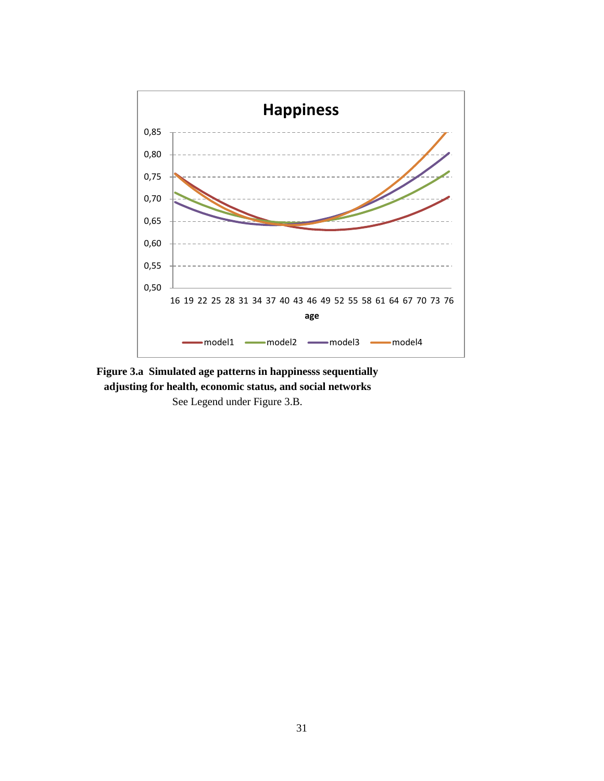

**Figure 3.a Simulated age patterns in happinesss sequentially adjusting for health, economic status, and social networks** See Legend under Figure 3.B.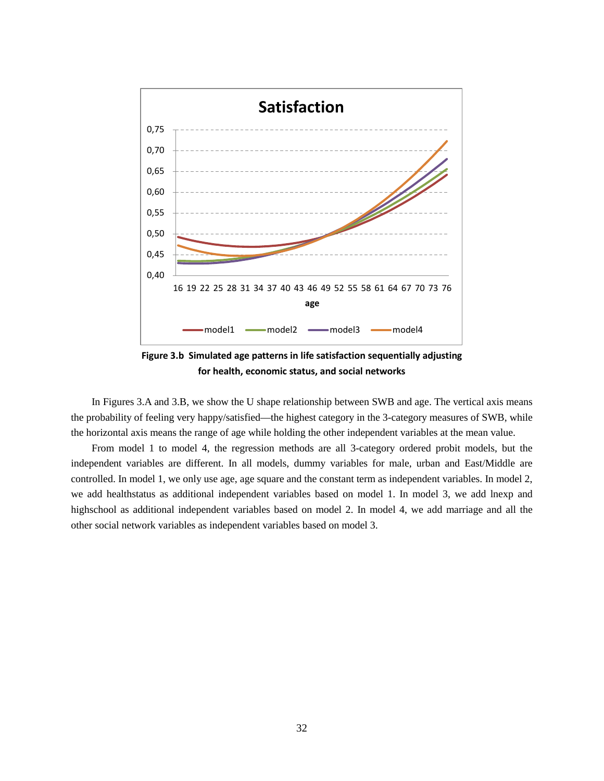

**Figure 3.b Simulated age patterns in life satisfaction sequentially adjusting for health, economic status, and social networks**

In Figures 3.A and 3.B, we show the U shape relationship between SWB and age. The vertical axis means the probability of feeling very happy/satisfied—the highest category in the 3-category measures of SWB, while the horizontal axis means the range of age while holding the other independent variables at the mean value.

From model 1 to model 4, the regression methods are all 3-category ordered probit models, but the independent variables are different. In all models, dummy variables for male, urban and East/Middle are controlled. In model 1, we only use age, age square and the constant term as independent variables. In model 2, we add healthstatus as additional independent variables based on model 1. In model 3, we add lnexp and highschool as additional independent variables based on model 2. In model 4, we add marriage and all the other social network variables as independent variables based on model 3.